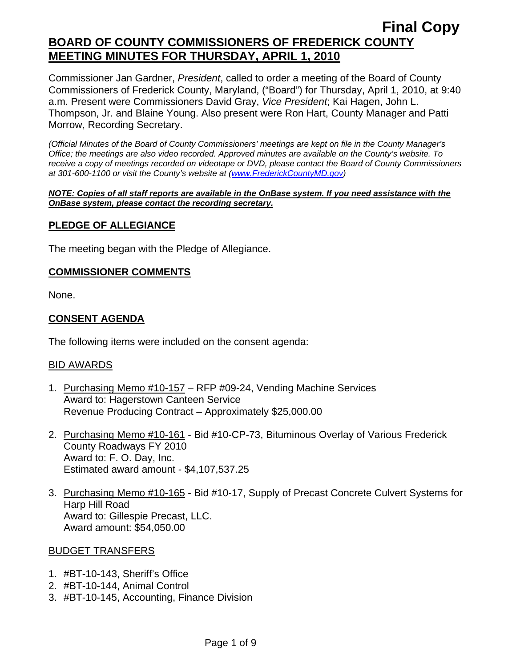Commissioner Jan Gardner, *President*, called to order a meeting of the Board of County Commissioners of Frederick County, Maryland, ("Board") for Thursday, April 1, 2010, at 9:40 a.m. Present were Commissioners David Gray, *Vice President*; Kai Hagen, John L. Thompson, Jr. and Blaine Young. Also present were Ron Hart, County Manager and Patti Morrow, Recording Secretary.

*(Official Minutes of the Board of County Commissioners' meetings are kept on file in the County Manager's Office; the meetings are also video recorded. Approved minutes are available on the County's website. To receive a copy of meetings recorded on videotape or DVD, please contact the Board of County Commissioners at 301-600-1100 or visit the County's website at ([www.FrederickCountyMD.gov](http://www.frederickcountymd.gov/))* 

#### *NOTE: Copies of all staff reports are available in the OnBase system. If you need assistance with the OnBase system, please contact the recording secretary.*

## **PLEDGE OF ALLEGIANCE**

The meeting began with the Pledge of Allegiance.

### **COMMISSIONER COMMENTS**

None.

## **CONSENT AGENDA**

The following items were included on the consent agenda:

## BID AWARDS

- 1. Purchasing Memo #10-157 RFP #09-24, Vending Machine Services Award to: Hagerstown Canteen Service Revenue Producing Contract – Approximately \$25,000.00
- 2. Purchasing Memo #10-161 Bid #10-CP-73, Bituminous Overlay of Various Frederick County Roadways FY 2010 Award to: F. O. Day, Inc. Estimated award amount - \$4,107,537.25
- 3. Purchasing Memo #10-165 Bid #10-17, Supply of Precast Concrete Culvert Systems for Harp Hill Road Award to: Gillespie Precast, LLC. Award amount: \$54,050.00

#### BUDGET TRANSFERS

- 1. #BT-10-143, Sheriff's Office
- 2. #BT-10-144, Animal Control
- 3. #BT-10-145, Accounting, Finance Division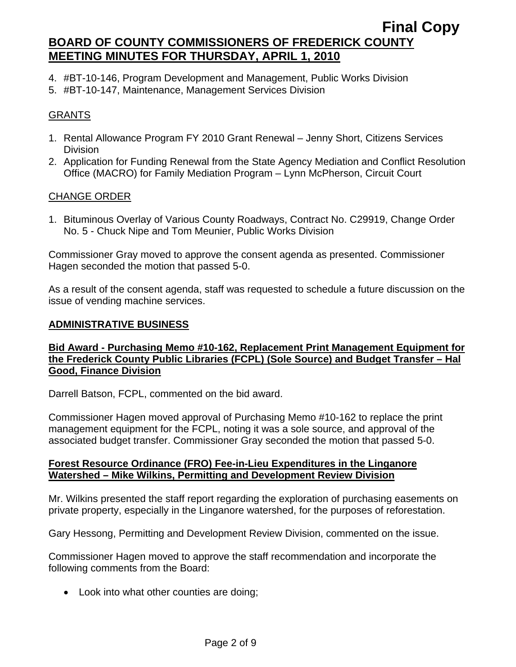- 4. #BT-10-146, Program Development and Management, Public Works Division
- 5. #BT-10-147, Maintenance, Management Services Division

## GRANTS

- 1. Rental Allowance Program FY 2010 Grant Renewal Jenny Short, Citizens Services Division
- 2. Application for Funding Renewal from the State Agency Mediation and Conflict Resolution Office (MACRO) for Family Mediation Program – Lynn McPherson, Circuit Court

#### CHANGE ORDER

1. Bituminous Overlay of Various County Roadways, Contract No. C29919, Change Order No. 5 - Chuck Nipe and Tom Meunier, Public Works Division

Commissioner Gray moved to approve the consent agenda as presented. Commissioner Hagen seconded the motion that passed 5-0.

As a result of the consent agenda, staff was requested to schedule a future discussion on the issue of vending machine services.

#### **ADMINISTRATIVE BUSINESS**

## **Bid Award - Purchasing Memo #10-162, Replacement Print Management Equipment for the Frederick County Public Libraries (FCPL) (Sole Source) and Budget Transfer – Hal Good, Finance Division**

Darrell Batson, FCPL, commented on the bid award.

Commissioner Hagen moved approval of Purchasing Memo #10-162 to replace the print management equipment for the FCPL, noting it was a sole source, and approval of the associated budget transfer. Commissioner Gray seconded the motion that passed 5-0.

#### **Forest Resource Ordinance (FRO) Fee-in-Lieu Expenditures in the Linganore Watershed – Mike Wilkins, Permitting and Development Review Division**

Mr. Wilkins presented the staff report regarding the exploration of purchasing easements on private property, especially in the Linganore watershed, for the purposes of reforestation.

Gary Hessong, Permitting and Development Review Division, commented on the issue.

Commissioner Hagen moved to approve the staff recommendation and incorporate the following comments from the Board:

• Look into what other counties are doing;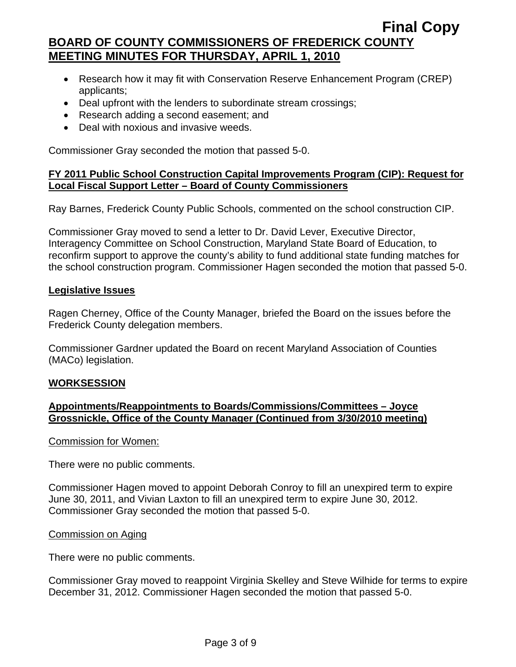- Research how it may fit with Conservation Reserve Enhancement Program (CREP) applicants;
- Deal upfront with the lenders to subordinate stream crossings;
- Research adding a second easement; and
- Deal with noxious and invasive weeds.

Commissioner Gray seconded the motion that passed 5-0.

## **FY 2011 Public School Construction Capital Improvements Program (CIP): Request for Local Fiscal Support Letter – Board of County Commissioners**

Ray Barnes, Frederick County Public Schools, commented on the school construction CIP.

Commissioner Gray moved to send a letter to Dr. David Lever, Executive Director, Interagency Committee on School Construction, Maryland State Board of Education, to reconfirm support to approve the county's ability to fund additional state funding matches for the school construction program. Commissioner Hagen seconded the motion that passed 5-0.

#### **Legislative Issues**

Ragen Cherney, Office of the County Manager, briefed the Board on the issues before the Frederick County delegation members.

Commissioner Gardner updated the Board on recent Maryland Association of Counties (MACo) legislation.

#### **WORKSESSION**

### **Appointments/Reappointments to Boards/Commissions/Committees – Joyce Grossnickle, Office of the County Manager (Continued from 3/30/2010 meeting)**

#### Commission for Women:

There were no public comments.

Commissioner Hagen moved to appoint Deborah Conroy to fill an unexpired term to expire June 30, 2011, and Vivian Laxton to fill an unexpired term to expire June 30, 2012. Commissioner Gray seconded the motion that passed 5-0.

#### Commission on Aging

There were no public comments.

Commissioner Gray moved to reappoint Virginia Skelley and Steve Wilhide for terms to expire December 31, 2012. Commissioner Hagen seconded the motion that passed 5-0.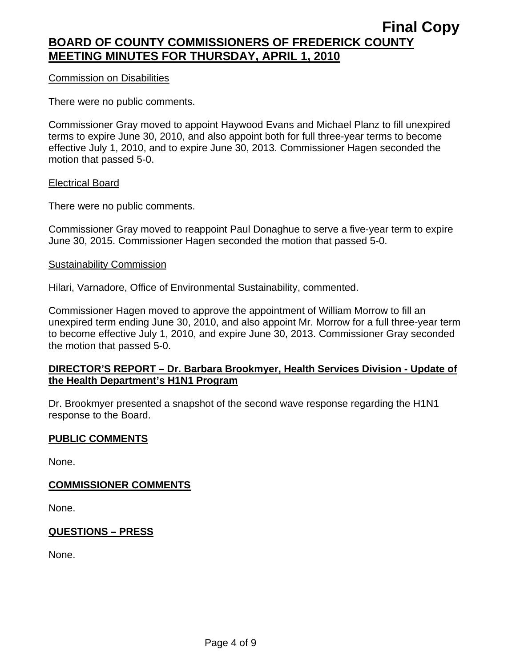### Commission on Disabilities

There were no public comments.

Commissioner Gray moved to appoint Haywood Evans and Michael Planz to fill unexpired terms to expire June 30, 2010, and also appoint both for full three-year terms to become effective July 1, 2010, and to expire June 30, 2013. Commissioner Hagen seconded the motion that passed 5-0.

#### Electrical Board

There were no public comments.

Commissioner Gray moved to reappoint Paul Donaghue to serve a five-year term to expire June 30, 2015. Commissioner Hagen seconded the motion that passed 5-0.

#### Sustainability Commission

Hilari, Varnadore, Office of Environmental Sustainability, commented.

Commissioner Hagen moved to approve the appointment of William Morrow to fill an unexpired term ending June 30, 2010, and also appoint Mr. Morrow for a full three-year term to become effective July 1, 2010, and expire June 30, 2013. Commissioner Gray seconded the motion that passed 5-0.

### **DIRECTOR'S REPORT – Dr. Barbara Brookmyer, Health Services Division - Update of the Health Department's H1N1 Program**

Dr. Brookmyer presented a snapshot of the second wave response regarding the H1N1 response to the Board.

#### **PUBLIC COMMENTS**

None.

#### **COMMISSIONER COMMENTS**

None.

## **QUESTIONS – PRESS**

None.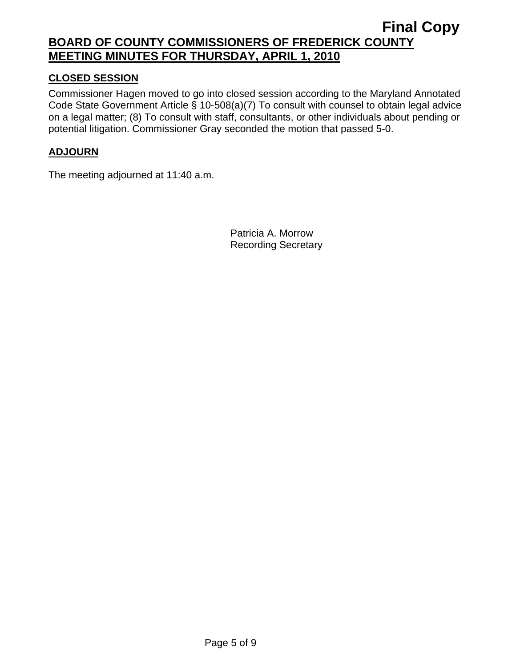## **CLOSED SESSION**

Commissioner Hagen moved to go into closed session according to the Maryland Annotated Code State Government Article § 10-508(a)(7) To consult with counsel to obtain legal advice on a legal matter; (8) To consult with staff, consultants, or other individuals about pending or potential litigation. Commissioner Gray seconded the motion that passed 5-0.

## **ADJOURN**

The meeting adjourned at 11:40 a.m.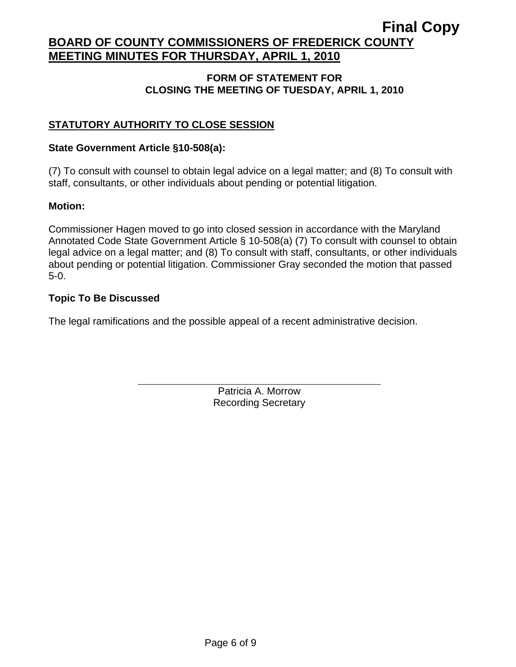## **FORM OF STATEMENT FOR CLOSING THE MEETING OF TUESDAY, APRIL 1, 2010**

## **STATUTORY AUTHORITY TO CLOSE SESSION**

## **State Government Article §10-508(a):**

 $\overline{a}$ 

(7) To consult with counsel to obtain legal advice on a legal matter; and (8) To consult with staff, consultants, or other individuals about pending or potential litigation.

## **Motion:**

Commissioner Hagen moved to go into closed session in accordance with the Maryland Annotated Code State Government Article § 10-508(a) (7) To consult with counsel to obtain legal advice on a legal matter; and (8) To consult with staff, consultants, or other individuals about pending or potential litigation. Commissioner Gray seconded the motion that passed 5-0.

## **Topic To Be Discussed**

The legal ramifications and the possible appeal of a recent administrative decision.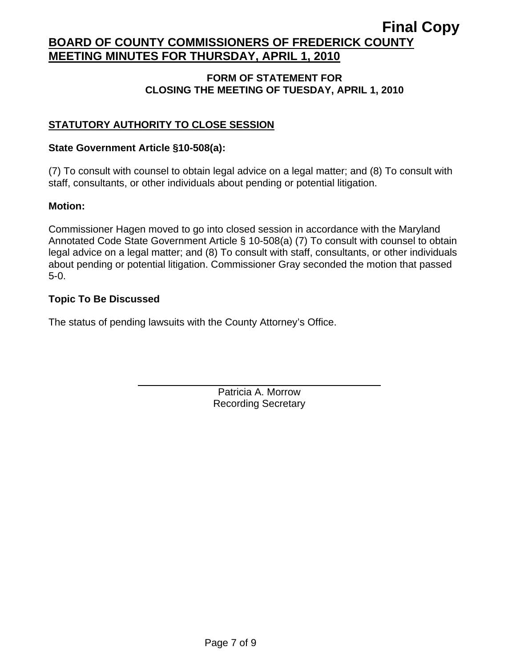## **FORM OF STATEMENT FOR CLOSING THE MEETING OF TUESDAY, APRIL 1, 2010**

## **STATUTORY AUTHORITY TO CLOSE SESSION**

## **State Government Article §10-508(a):**

 $\overline{a}$ 

(7) To consult with counsel to obtain legal advice on a legal matter; and (8) To consult with staff, consultants, or other individuals about pending or potential litigation.

## **Motion:**

Commissioner Hagen moved to go into closed session in accordance with the Maryland Annotated Code State Government Article § 10-508(a) (7) To consult with counsel to obtain legal advice on a legal matter; and (8) To consult with staff, consultants, or other individuals about pending or potential litigation. Commissioner Gray seconded the motion that passed 5-0.

## **Topic To Be Discussed**

The status of pending lawsuits with the County Attorney's Office.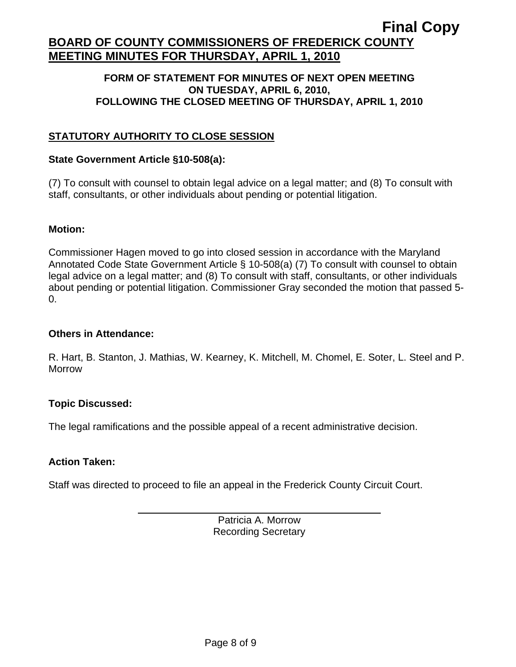### **FORM OF STATEMENT FOR MINUTES OF NEXT OPEN MEETING ON TUESDAY, APRIL 6, 2010, FOLLOWING THE CLOSED MEETING OF THURSDAY, APRIL 1, 2010**

## **STATUTORY AUTHORITY TO CLOSE SESSION**

### **State Government Article §10-508(a):**

(7) To consult with counsel to obtain legal advice on a legal matter; and (8) To consult with staff, consultants, or other individuals about pending or potential litigation.

### **Motion:**

Commissioner Hagen moved to go into closed session in accordance with the Maryland Annotated Code State Government Article § 10-508(a) (7) To consult with counsel to obtain legal advice on a legal matter; and (8) To consult with staff, consultants, or other individuals about pending or potential litigation. Commissioner Gray seconded the motion that passed 5- 0.

## **Others in Attendance:**

R. Hart, B. Stanton, J. Mathias, W. Kearney, K. Mitchell, M. Chomel, E. Soter, L. Steel and P. Morrow

## **Topic Discussed:**

The legal ramifications and the possible appeal of a recent administrative decision.

#### **Action Taken:**

 $\overline{a}$ 

Staff was directed to proceed to file an appeal in the Frederick County Circuit Court.